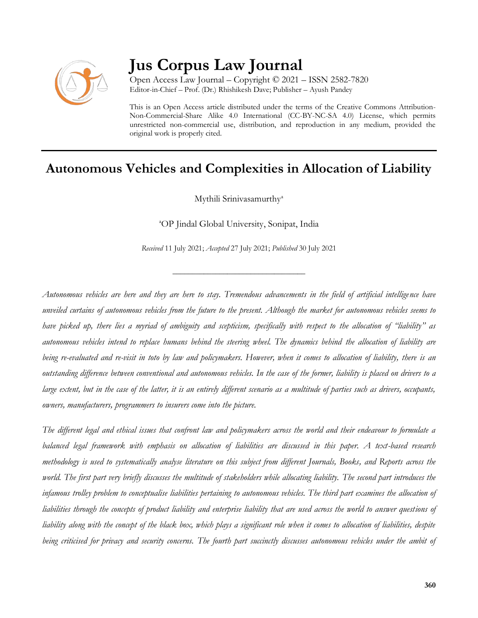

# **Jus Corpus Law Journal**

Open Access Law Journal – Copyright © 2021 – ISSN 2582-7820 Editor-in-Chief – Prof. (Dr.) Rhishikesh Dave; Publisher – Ayush Pandey

This is an Open Access article distributed under the terms of the Creative Commons Attribution-Non-Commercial-Share Alike 4.0 International (CC-BY-NC-SA 4.0) License, which permits unrestricted non-commercial use, distribution, and reproduction in any medium, provided the original work is properly cited.

# **Autonomous Vehicles and Complexities in Allocation of Liability**

Mythili Srinivasamurthy<sup>a</sup>

<sup>a</sup>OP Jindal Global University, Sonipat, India

*Received* 11 July 2021; *Accepted* 27 July 2021; *Published* 30 July 2021

\_\_\_\_\_\_\_\_\_\_\_\_\_\_\_\_\_\_\_\_\_\_\_\_\_\_\_\_\_\_\_\_\_\_

*Autonomous vehicles are here and they are here to stay. Tremendous advancements in the field of artificial intelligence have unveiled curtains of autonomous vehicles from the future to the present. Although the market for autonomous vehicles seems to have picked up, there lies a myriad of ambiguity and scepticism, specifically with respect to the allocation of "liability" as autonomous vehicles intend to replace humans behind the steering wheel. The dynamics behind the allocation of liability are being re-evaluated and re-visit in toto by law and policymakers. However, when it comes to allocation of liability, there is an outstanding difference between conventional and autonomous vehicles. In the case of the former, liability is placed on drivers to a*  large extent, but in the case of the latter, it is an entirely different scenario as a multitude of parties such as drivers, occupants, *owners, manufacturers, programmers to insurers come into the picture.*

*The different legal and ethical issues that confront law and policymakers across the world and their endeavour to formulate a balanced legal framework with emphasis on allocation of liabilities are discussed in this paper. A text-based research methodology is used to systematically analyse literature on this subject from different Journals, Books, and Reports across the world. The first part very briefly discusses the multitude of stakeholders while allocating liability. The second part introduces the infamous trolley problem to conceptualise liabilities pertaining to autonomous vehicles. The third part examines the allocation of liabilities through the concepts of product liability and enterprise liability that are used across the world to answer questions of liability along with the concept of the black box, which plays a significant role when it comes to allocation of liabilities, despite being criticised for privacy and security concerns. The fourth part succinctly discusses autonomous vehicles under the ambit of*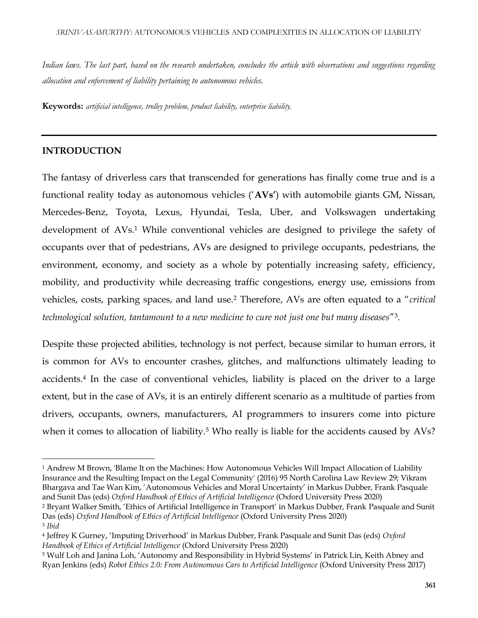*Indian laws. The last part, based on the research undertaken, concludes the article with observations and suggestions regarding allocation and enforcement of liability pertaining to autonomous vehicles.*

**Keywords:** *artificial intelligence, trolley problem, product liability, enterprise liability.*

# **INTRODUCTION**

The fantasy of driverless cars that transcended for generations has finally come true and is a functional reality today as autonomous vehicles ('**AVs'**) with automobile giants GM, Nissan, Mercedes-Benz, Toyota, Lexus, Hyundai, Tesla, Uber, and Volkswagen undertaking development of AVs.<sup>1</sup> While conventional vehicles are designed to privilege the safety of occupants over that of pedestrians, AVs are designed to privilege occupants, pedestrians, the environment, economy, and society as a whole by potentially increasing safety, efficiency, mobility, and productivity while decreasing traffic congestions, energy use, emissions from vehicles, costs, parking spaces, and land use.<sup>2</sup> Therefore, AVs are often equated to a "*critical technological solution, tantamount to a new medicine to cure not just one but many diseases*" 3 .

Despite these projected abilities, technology is not perfect, because similar to human errors, it is common for AVs to encounter crashes, glitches, and malfunctions ultimately leading to accidents.<sup>4</sup> In the case of conventional vehicles, liability is placed on the driver to a large extent, but in the case of AVs, it is an entirely different scenario as a multitude of parties from drivers, occupants, owners, manufacturers, AI programmers to insurers come into picture when it comes to allocation of liability.<sup>5</sup> Who really is liable for the accidents caused by AVs?

<sup>2</sup> Bryant Walker Smith, 'Ethics of Artificial Intelligence in Transport' in Markus Dubber, Frank Pasquale and Sunit Das (eds) *Oxford Handbook of Ethics of Artificial Intelligence* (Oxford University Press 2020)

<sup>1</sup> Andrew M Brown, 'Blame It on the Machines: How Autonomous Vehicles Will Impact Allocation of Liability Insurance and the Resulting Impact on the Legal Community' (2016) 95 North Carolina Law Review 29; Vikram Bhargava and Tae Wan Kim, 'Autonomous Vehicles and Moral Uncertainty' in Markus Dubber, Frank Pasquale and Sunit Das (eds) *Oxford Handbook of Ethics of Artificial Intelligence* (Oxford University Press 2020)

<sup>3</sup> *Ibid*

<sup>4</sup> Jeffrey K Gurney, 'Imputing Driverhood' in Markus Dubber, Frank Pasquale and Sunit Das (eds) *Oxford Handbook of Ethics of Artificial Intelligence* (Oxford University Press 2020)

<sup>5</sup> Wulf Loh and Janina Loh, 'Autonomy and Responsibility in Hybrid Systems' in Patrick Lin, Keith Abney and Ryan Jenkins (eds) *Robot Ethics 2.0: From Autonomous Cars to Artificial Intelligence* (Oxford University Press 2017)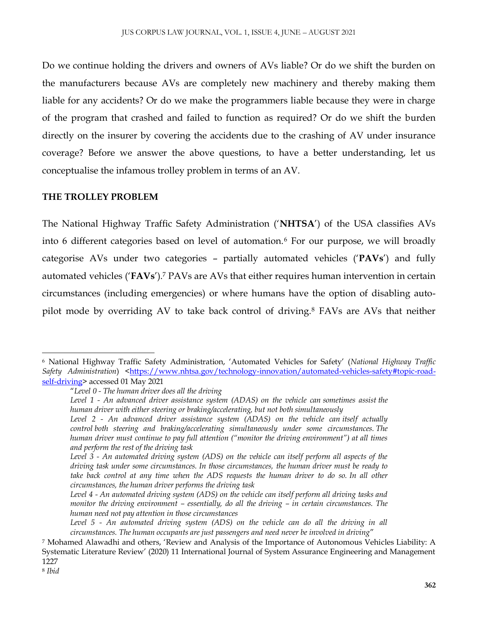Do we continue holding the drivers and owners of AVs liable? Or do we shift the burden on the manufacturers because AVs are completely new machinery and thereby making them liable for any accidents? Or do we make the programmers liable because they were in charge of the program that crashed and failed to function as required? Or do we shift the burden directly on the insurer by covering the accidents due to the crashing of AV under insurance coverage? Before we answer the above questions, to have a better understanding, let us conceptualise the infamous trolley problem in terms of an AV.

### **THE TROLLEY PROBLEM**

The National Highway Traffic Safety Administration ('**NHTSA**') of the USA classifies AVs into 6 different categories based on level of automation.<sup>6</sup> For our purpose, we will broadly categorise AVs under two categories – partially automated vehicles ('**PAVs**') and fully automated vehicles ('**FAVs**').<sup>7</sup> PAVs are AVs that either requires human intervention in certain circumstances (including emergencies) or where humans have the option of disabling autopilot mode by overriding AV to take back control of driving.<sup>8</sup> FAVs are AVs that neither

<sup>6</sup> National Highway Traffic Safety Administration, 'Automated Vehicles for Safety' (*National Highway Traffic Safety Administration*) [<https://www.nhtsa.gov/technology-innovation/automated-vehicles-safety#topic-road](https://www.nhtsa.gov/technology-innovation/automated-vehicles-safety#topic-road-self-driving)[self-driving>](https://www.nhtsa.gov/technology-innovation/automated-vehicles-safety#topic-road-self-driving) accessed 01 May 2021

<sup>&</sup>quot;*Level 0 - The human driver does all the driving*

*Level 1 - An advanced driver assistance system (ADAS) on the vehicle can sometimes assist the human driver with either steering or braking/accelerating, but not both simultaneously*

*Level 2 - An advanced driver assistance system (ADAS) on the vehicle can itself actually control both steering and braking/accelerating simultaneously under some circumstances. The human driver must continue to pay full attention ("monitor the driving environment") at all times and perform the rest of the driving task*

*Level 3 - An automated driving system (ADS) on the vehicle can itself perform all aspects of the driving task under some circumstances. In those circumstances, the human driver must be ready to take back control at any time when the ADS requests the human driver to do so. In all other circumstances, the human driver performs the driving task*

*Level 4 - An automated driving system (ADS) on the vehicle can itself perform all driving tasks and monitor the driving environment – essentially, do all the driving – in certain circumstances. The human need not pay attention in those circumstances*

Level 5 - An automated driving system (ADS) on the vehicle can do all the driving in all *circumstances. The human occupants are just passengers and need never be involved in driving*"

<sup>7</sup> Mohamed Alawadhi and others, 'Review and Analysis of the Importance of Autonomous Vehicles Liability: A Systematic Literature Review' (2020) 11 International Journal of System Assurance Engineering and Management 1227

<sup>8</sup> *Ibid*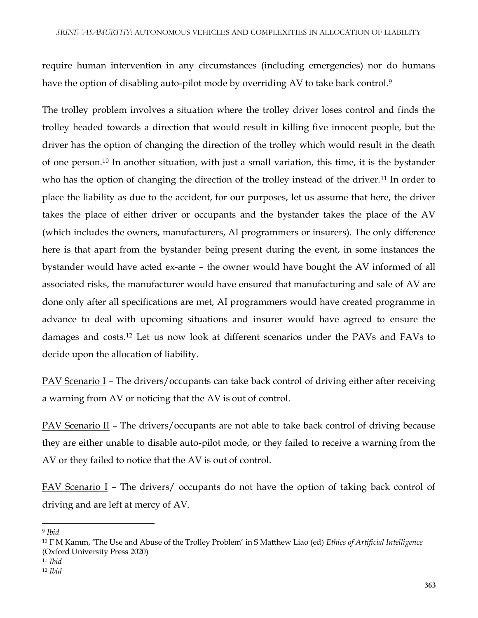require human intervention in any circumstances (including emergencies) nor do humans have the option of disabling auto-pilot mode by overriding AV to take back control.<sup>9</sup>

The trolley problem involves a situation where the trolley driver loses control and finds the trolley headed towards a direction that would result in killing five innocent people, but the driver has the option of changing the direction of the trolley which would result in the death of one person.<sup>10</sup> In another situation, with just a small variation, this time, it is the bystander who has the option of changing the direction of the trolley instead of the driver.<sup>11</sup> In order to place the liability as due to the accident, for our purposes, let us assume that here, the driver takes the place of either driver or occupants and the bystander takes the place of the AV (which includes the owners, manufacturers, AI programmers or insurers). The only difference here is that apart from the bystander being present during the event, in some instances the bystander would have acted ex-ante – the owner would have bought the AV informed of all associated risks, the manufacturer would have ensured that manufacturing and sale of AV are done only after all specifications are met, AI programmers would have created programme in advance to deal with upcoming situations and insurer would have agreed to ensure the damages and costs.<sup>12</sup> Let us now look at different scenarios under the PAVs and FAVs to decide upon the allocation of liability.

PAV Scenario I – The drivers/occupants can take back control of driving either after receiving a warning from AV or noticing that the AV is out of control.

PAV Scenario II – The drivers/occupants are not able to take back control of driving because they are either unable to disable auto-pilot mode, or they failed to receive a warning from the AV or they failed to notice that the AV is out of control.

FAV Scenario I – The drivers/ occupants do not have the option of taking back control of driving and are left at mercy of AV.

<sup>9</sup> *Ibid*

<sup>10</sup> F M Kamm, 'The Use and Abuse of the Trolley Problem' in S Matthew Liao (ed) *Ethics of Artificial Intelligence*  (Oxford University Press 2020)

<sup>11</sup> *Ibid*

<sup>12</sup> *Ibid*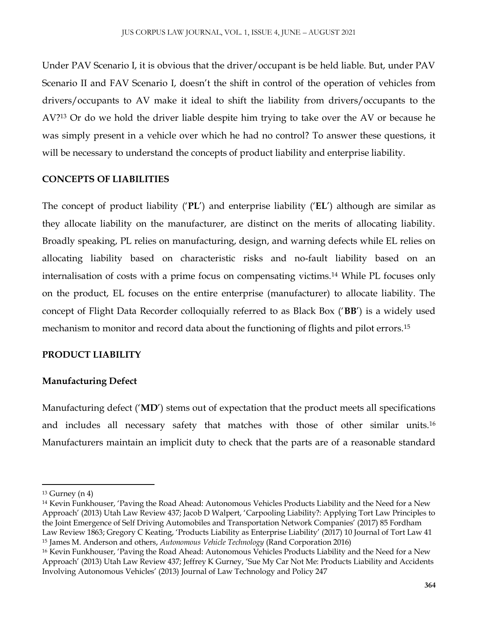Under PAV Scenario I, it is obvious that the driver/occupant is be held liable. But, under PAV Scenario II and FAV Scenario I, doesn't the shift in control of the operation of vehicles from drivers/occupants to AV make it ideal to shift the liability from drivers/occupants to the AV?<sup>13</sup> Or do we hold the driver liable despite him trying to take over the AV or because he was simply present in a vehicle over which he had no control? To answer these questions, it will be necessary to understand the concepts of product liability and enterprise liability.

#### **CONCEPTS OF LIABILITIES**

The concept of product liability ('**PL**') and enterprise liability ('**EL**') although are similar as they allocate liability on the manufacturer, are distinct on the merits of allocating liability. Broadly speaking, PL relies on manufacturing, design, and warning defects while EL relies on allocating liability based on characteristic risks and no-fault liability based on an internalisation of costs with a prime focus on compensating victims.<sup>14</sup> While PL focuses only on the product, EL focuses on the entire enterprise (manufacturer) to allocate liability. The concept of Flight Data Recorder colloquially referred to as Black Box ('**BB**') is a widely used mechanism to monitor and record data about the functioning of flights and pilot errors.<sup>15</sup>

#### **PRODUCT LIABILITY**

#### **Manufacturing Defect**

Manufacturing defect ('**MD**') stems out of expectation that the product meets all specifications and includes all necessary safety that matches with those of other similar units.<sup>16</sup> Manufacturers maintain an implicit duty to check that the parts are of a reasonable standard

 $13$  Gurney (n 4)

<sup>14</sup> Kevin Funkhouser, 'Paving the Road Ahead: Autonomous Vehicles Products Liability and the Need for a New Approach' (2013) Utah Law Review 437; Jacob D Walpert, 'Carpooling Liability?: Applying Tort Law Principles to the Joint Emergence of Self Driving Automobiles and Transportation Network Companies' (2017) 85 Fordham Law Review 1863; Gregory C Keating, 'Products Liability as Enterprise Liability' (2017) 10 Journal of Tort Law 41 <sup>15</sup> James M. Anderson and others, *Autonomous Vehicle Technology* (Rand Corporation 2016)

<sup>16</sup> Kevin Funkhouser, 'Paving the Road Ahead: Autonomous Vehicles Products Liability and the Need for a New Approach' (2013) Utah Law Review 437; Jeffrey K Gurney, 'Sue My Car Not Me: Products Liability and Accidents Involving Autonomous Vehicles' (2013) Journal of Law Technology and Policy 247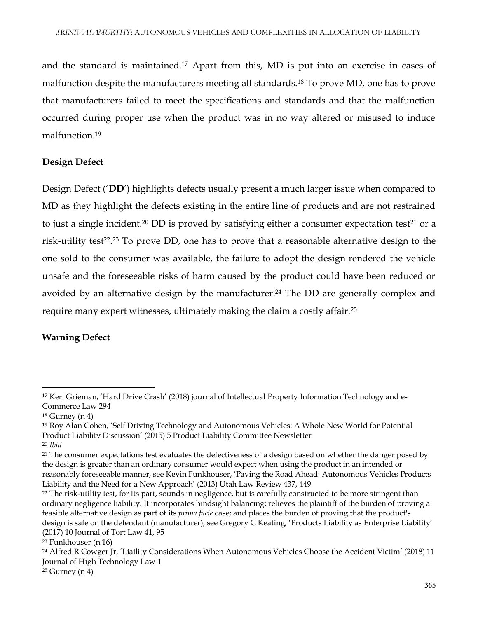and the standard is maintained.<sup>17</sup> Apart from this, MD is put into an exercise in cases of malfunction despite the manufacturers meeting all standards.<sup>18</sup> To prove MD, one has to prove that manufacturers failed to meet the specifications and standards and that the malfunction occurred during proper use when the product was in no way altered or misused to induce malfunction.<sup>19</sup>

# **Design Defect**

Design Defect ('**DD**') highlights defects usually present a much larger issue when compared to MD as they highlight the defects existing in the entire line of products and are not restrained to just a single incident.<sup>20</sup> DD is proved by satisfying either a consumer expectation test<sup>21</sup> or a risk-utility test<sup>22</sup>.<sup>23</sup> To prove DD, one has to prove that a reasonable alternative design to the one sold to the consumer was available, the failure to adopt the design rendered the vehicle unsafe and the foreseeable risks of harm caused by the product could have been reduced or avoided by an alternative design by the manufacturer.<sup>24</sup> The DD are generally complex and require many expert witnesses, ultimately making the claim a costly affair.<sup>25</sup>

# **Warning Defect**

<sup>17</sup> Keri Grieman, 'Hard Drive Crash' (2018) journal of Intellectual Property Information Technology and e-Commerce Law 294

<sup>18</sup> Gurney (n 4)

<sup>19</sup> Roy Alan Cohen, 'Self Driving Technology and Autonomous Vehicles: A Whole New World for Potential Product Liability Discussion' (2015) 5 Product Liability Committee Newsletter

<sup>20</sup> *Ibid*

<sup>&</sup>lt;sup>21</sup> The consumer expectations test evaluates the defectiveness of a design based on whether the danger posed by the design is greater than an ordinary consumer would expect when using the product in an intended or reasonably foreseeable manner, see Kevin Funkhouser, 'Paving the Road Ahead: Autonomous Vehicles Products Liability and the Need for a New Approach' (2013) Utah Law Review 437, 449

<sup>&</sup>lt;sup>22</sup> The risk-utility test, for its part, sounds in negligence, but is carefully constructed to be more stringent than ordinary negligence liability. It incorporates hindsight balancing; relieves the plaintiff of the burden of proving a feasible alternative design as part of its *prima facie* case; and places the burden of proving that the product's design is safe on the defendant (manufacturer), see Gregory C Keating, 'Products Liability as Enterprise Liability' (2017) 10 Journal of Tort Law 41, 95

<sup>23</sup> Funkhouser (n 16)

<sup>24</sup> Alfred R Cowger Jr, 'Liaility Considerations When Autonomous Vehicles Choose the Accident Victim' (2018) 11 Journal of High Technology Law 1

 $25$  Gurney (n 4)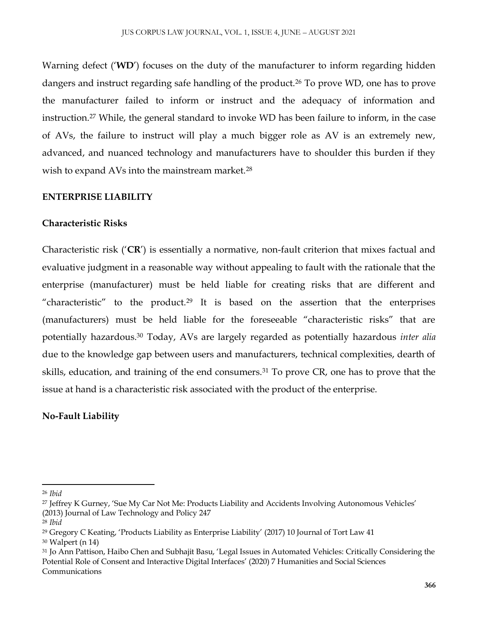Warning defect ('**WD**') focuses on the duty of the manufacturer to inform regarding hidden dangers and instruct regarding safe handling of the product.<sup>26</sup> To prove WD, one has to prove the manufacturer failed to inform or instruct and the adequacy of information and instruction.<sup>27</sup> While, the general standard to invoke WD has been failure to inform, in the case of AVs, the failure to instruct will play a much bigger role as AV is an extremely new, advanced, and nuanced technology and manufacturers have to shoulder this burden if they wish to expand AVs into the mainstream market.<sup>28</sup>

### **ENTERPRISE LIABILITY**

### **Characteristic Risks**

Characteristic risk ('**CR**') is essentially a normative, non-fault criterion that mixes factual and evaluative judgment in a reasonable way without appealing to fault with the rationale that the enterprise (manufacturer) must be held liable for creating risks that are different and "characteristic" to the product.<sup>29</sup> It is based on the assertion that the enterprises (manufacturers) must be held liable for the foreseeable "characteristic risks" that are potentially hazardous.<sup>30</sup> Today, AVs are largely regarded as potentially hazardous *inter alia* due to the knowledge gap between users and manufacturers, technical complexities, dearth of skills, education, and training of the end consumers.<sup>31</sup> To prove CR, one has to prove that the issue at hand is a characteristic risk associated with the product of the enterprise.

# **No-Fault Liability**

<sup>26</sup> *Ibid*

<sup>27</sup> Jeffrey K Gurney, 'Sue My Car Not Me: Products Liability and Accidents Involving Autonomous Vehicles' (2013) Journal of Law Technology and Policy 247

<sup>28</sup> *Ibid*

<sup>29</sup> Gregory C Keating, 'Products Liability as Enterprise Liability' (2017) 10 Journal of Tort Law 41

<sup>30</sup> Walpert (n 14)

<sup>31</sup> Jo Ann Pattison, Haibo Chen and Subhajit Basu, 'Legal Issues in Automated Vehicles: Critically Considering the Potential Role of Consent and Interactive Digital Interfaces' (2020) 7 Humanities and Social Sciences Communications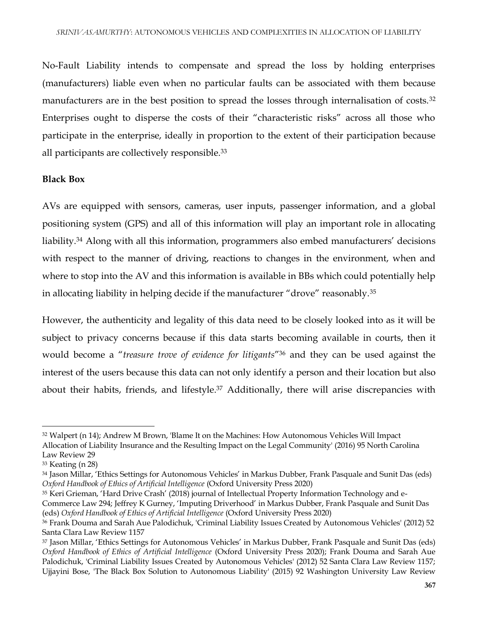No-Fault Liability intends to compensate and spread the loss by holding enterprises (manufacturers) liable even when no particular faults can be associated with them because manufacturers are in the best position to spread the losses through internalisation of costs.<sup>32</sup> Enterprises ought to disperse the costs of their "characteristic risks" across all those who participate in the enterprise, ideally in proportion to the extent of their participation because all participants are collectively responsible.<sup>33</sup>

### **Black Box**

AVs are equipped with sensors, cameras, user inputs, passenger information, and a global positioning system (GPS) and all of this information will play an important role in allocating liability.<sup>34</sup> Along with all this information, programmers also embed manufacturers' decisions with respect to the manner of driving, reactions to changes in the environment, when and where to stop into the AV and this information is available in BBs which could potentially help in allocating liability in helping decide if the manufacturer "drove" reasonably.<sup>35</sup>

However, the authenticity and legality of this data need to be closely looked into as it will be subject to privacy concerns because if this data starts becoming available in courts, then it would become a "*treasure trove of evidence for litigants*" <sup>36</sup> and they can be used against the interest of the users because this data can not only identify a person and their location but also about their habits, friends, and lifestyle.<sup>37</sup> Additionally, there will arise discrepancies with

<sup>32</sup> Walpert (n 14); Andrew M Brown, 'Blame It on the Machines: How Autonomous Vehicles Will Impact Allocation of Liability Insurance and the Resulting Impact on the Legal Community' (2016) 95 North Carolina Law Review 29

<sup>33</sup> Keating (n 28)

<sup>34</sup> Jason Millar, 'Ethics Settings for Autonomous Vehicles' in Markus Dubber, Frank Pasquale and Sunit Das (eds) *Oxford Handbook of Ethics of Artificial Intelligence* (Oxford University Press 2020)

<sup>&</sup>lt;sup>35</sup> Keri Grieman, 'Hard Drive Crash' (2018) journal of Intellectual Property Information Technology and e-Commerce Law 294; Jeffrey K Gurney, 'Imputing Driverhood' in Markus Dubber, Frank Pasquale and Sunit Das (eds) *Oxford Handbook of Ethics of Artificial Intelligence* (Oxford University Press 2020)

<sup>36</sup> Frank Douma and Sarah Aue Palodichuk, 'Criminal Liability Issues Created by Autonomous Vehicles' (2012) 52 Santa Clara Law Review 1157

<sup>37</sup> Jason Millar, 'Ethics Settings for Autonomous Vehicles' in Markus Dubber, Frank Pasquale and Sunit Das (eds) *Oxford Handbook of Ethics of Artificial Intelligence* (Oxford University Press 2020); Frank Douma and Sarah Aue Palodichuk, 'Criminal Liability Issues Created by Autonomous Vehicles' (2012) 52 Santa Clara Law Review 1157; Ujjayini Bose, 'The Black Box Solution to Autonomous Liability' (2015) 92 Washington University Law Review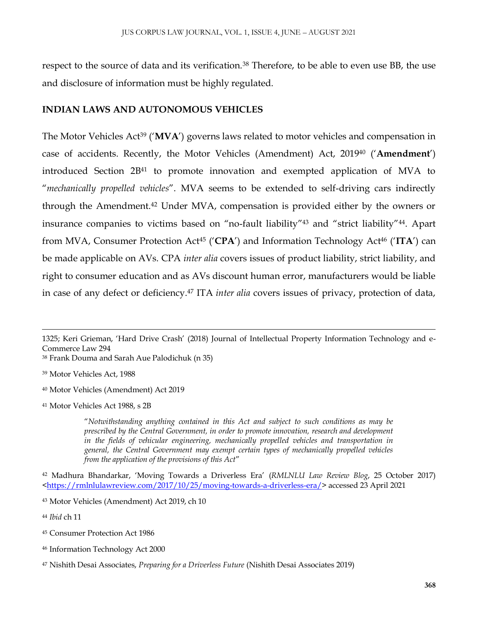respect to the source of data and its verification.<sup>38</sup> Therefore, to be able to even use BB, the use and disclosure of information must be highly regulated.

#### **INDIAN LAWS AND AUTONOMOUS VEHICLES**

The Motor Vehicles Act<sup>39</sup> ('MVA') governs laws related to motor vehicles and compensation in case of accidents. Recently, the Motor Vehicles (Amendment) Act, 2019<sup>40</sup> ('**Amendment**') introduced Section 2B<sup>41</sup> to promote innovation and exempted application of MVA to "*mechanically propelled vehicles*". MVA seems to be extended to self-driving cars indirectly through the Amendment.<sup>42</sup> Under MVA, compensation is provided either by the owners or insurance companies to victims based on "no-fault liability"<sup>43</sup> and "strict liability"<sup>44</sup>. Apart from MVA, Consumer Protection Act<sup>45</sup> ('**CPA**') and Information Technology Act<sup>46</sup> ('**ITA**') can be made applicable on AVs. CPA *inter alia* covers issues of product liability, strict liability, and right to consumer education and as AVs discount human error, manufacturers would be liable in case of any defect or deficiency.<sup>47</sup> ITA *inter alia* covers issues of privacy, protection of data,

<sup>38</sup> Frank Douma and Sarah Aue Palodichuk (n 35)

<sup>39</sup> Motor Vehicles Act, 1988

 $\overline{\phantom{a}}$ 

<sup>40</sup> Motor Vehicles (Amendment) Act 2019

<sup>41</sup> Motor Vehicles Act 1988, s 2B

"*Notwithstanding anything contained in this Act and subject to such conditions as may be prescribed by the Central Government, in order to promote innovation, research and development in the fields of vehicular engineering, mechanically propelled vehicles and transportation in general, the Central Government may exempt certain types of mechanically propelled vehicles from the application of the provisions of this Act*"

<sup>42</sup> Madhura Bhandarkar, 'Moving Towards a Driverless Era' (*RMLNLU Law Review Blog*, 25 October 2017) [<https://rmlnlulawreview.com/2017/10/25/moving-towards-a-driverless-era/>](https://rmlnlulawreview.com/2017/10/25/moving-towards-a-driverless-era/) accessed 23 April 2021

<sup>44</sup> *Ibid* ch 11

- <sup>45</sup> Consumer Protection Act 1986
- <sup>46</sup> Information Technology Act 2000

<sup>1325;</sup> Keri Grieman, 'Hard Drive Crash' (2018) Journal of Intellectual Property Information Technology and e-Commerce Law 294

<sup>43</sup> Motor Vehicles (Amendment) Act 2019, ch 10

<sup>47</sup> Nishith Desai Associates, *Preparing for a Driverless Future* (Nishith Desai Associates 2019)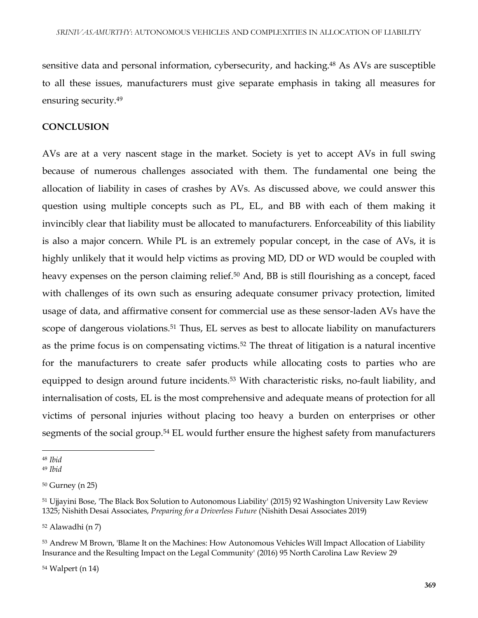sensitive data and personal information, cybersecurity, and hacking.<sup>48</sup> As AVs are susceptible to all these issues, manufacturers must give separate emphasis in taking all measures for ensuring security.<sup>49</sup>

#### **CONCLUSION**

AVs are at a very nascent stage in the market. Society is yet to accept AVs in full swing because of numerous challenges associated with them. The fundamental one being the allocation of liability in cases of crashes by AVs. As discussed above, we could answer this question using multiple concepts such as PL, EL, and BB with each of them making it invincibly clear that liability must be allocated to manufacturers. Enforceability of this liability is also a major concern. While PL is an extremely popular concept, in the case of AVs, it is highly unlikely that it would help victims as proving MD, DD or WD would be coupled with heavy expenses on the person claiming relief.<sup>50</sup> And, BB is still flourishing as a concept, faced with challenges of its own such as ensuring adequate consumer privacy protection, limited usage of data, and affirmative consent for commercial use as these sensor-laden AVs have the scope of dangerous violations.<sup>51</sup> Thus, EL serves as best to allocate liability on manufacturers as the prime focus is on compensating victims.<sup>52</sup> The threat of litigation is a natural incentive for the manufacturers to create safer products while allocating costs to parties who are equipped to design around future incidents.<sup>53</sup> With characteristic risks, no-fault liability, and internalisation of costs, EL is the most comprehensive and adequate means of protection for all victims of personal injuries without placing too heavy a burden on enterprises or other segments of the social group.<sup>54</sup> EL would further ensure the highest safety from manufacturers

 $\overline{a}$ 

<sup>52</sup> Alawadhi (n 7)

<sup>54</sup> Walpert (n 14)

<sup>48</sup> *Ibid*

<sup>49</sup> *Ibid*

<sup>50</sup> Gurney (n 25)

<sup>51</sup> Ujjayini Bose, 'The Black Box Solution to Autonomous Liability' (2015) 92 Washington University Law Review 1325; Nishith Desai Associates, *Preparing for a Driverless Future* (Nishith Desai Associates 2019)

<sup>53</sup> Andrew M Brown, 'Blame It on the Machines: How Autonomous Vehicles Will Impact Allocation of Liability Insurance and the Resulting Impact on the Legal Community' (2016) 95 North Carolina Law Review 29